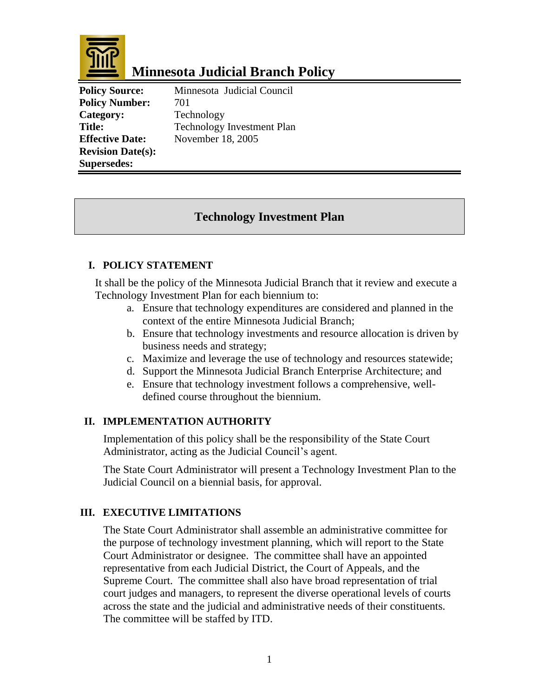

# **Minnesota Judicial Branch Policy**

Policy Number: 701 Category: Technology **Revision Date(s): Supersedes:** 

**Policy Source:** Minnesota Judicial Council **Title:** Technology Investment Plan **Effective Date:** November 18, 2005

# **Technology Investment Plan**

## **I. POLICY STATEMENT**

It shall be the policy of the Minnesota Judicial Branch that it review and execute a Technology Investment Plan for each biennium to:

- a. Ensure that technology expenditures are considered and planned in the context of the entire Minnesota Judicial Branch;
- b. Ensure that technology investments and resource allocation is driven by business needs and strategy;
- c. Maximize and leverage the use of technology and resources statewide;
- d. Support the Minnesota Judicial Branch Enterprise Architecture; and
- e. Ensure that technology investment follows a comprehensive, welldefined course throughout the biennium.

### **II. IMPLEMENTATION AUTHORITY**

Implementation of this policy shall be the responsibility of the State Court Administrator, acting as the Judicial Council's agent.

The State Court Administrator will present a Technology Investment Plan to the Judicial Council on a biennial basis, for approval.

### **III. EXECUTIVE LIMITATIONS**

The State Court Administrator shall assemble an administrative committee for the purpose of technology investment planning, which will report to the State Court Administrator or designee. The committee shall have an appointed representative from each Judicial District, the Court of Appeals, and the Supreme Court. The committee shall also have broad representation of trial court judges and managers, to represent the diverse operational levels of courts across the state and the judicial and administrative needs of their constituents. The committee will be staffed by ITD.